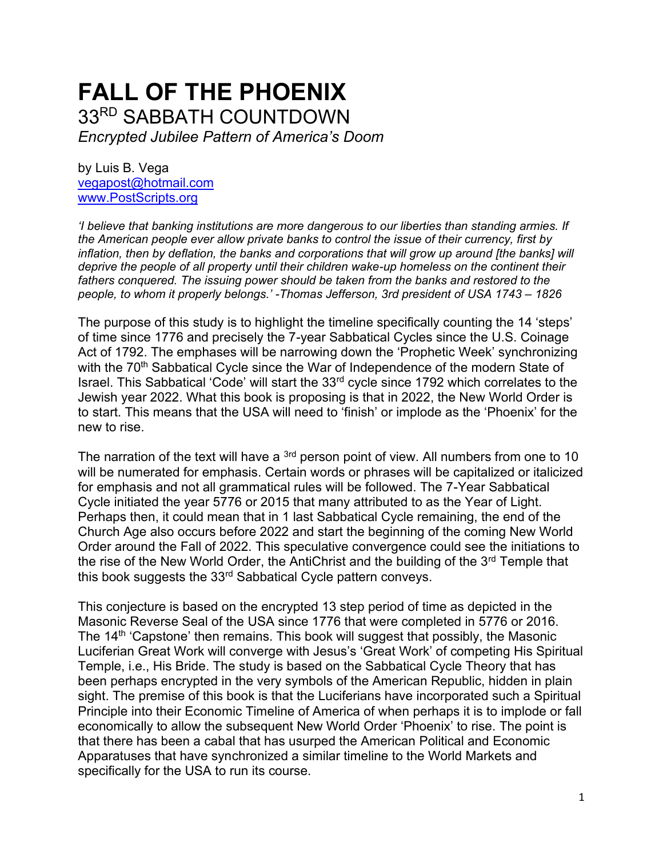# **FALL OF THE PHOENIX** 33RD SABBATH COUNTDOWN

*Encrypted Jubilee Pattern of America's Doom*

by Luis B. Vega [vegapost@hotmail.com](mailto:vegapost@hotmail.com) [www.PostScripts.org](http://www.postscripts.org/)

*'I believe that banking institutions are more dangerous to our liberties than standing armies. If the American people ever allow private banks to control the issue of their currency, first by inflation, then by deflation, the banks and corporations that will grow up around [the banks] will deprive the people of all property until their children wake-up homeless on the continent their fathers conquered. The issuing power should be taken from the banks and restored to the people, to whom it properly belongs.' -Thomas Jefferson, 3rd president of USA 1743 – 1826*

The purpose of this study is to highlight the timeline specifically counting the 14 'steps' of time since 1776 and precisely the 7-year Sabbatical Cycles since the U.S. Coinage Act of 1792. The emphases will be narrowing down the 'Prophetic Week' synchronizing with the 70<sup>th</sup> Sabbatical Cycle since the War of Independence of the modern State of Israel. This Sabbatical 'Code' will start the 33rd cycle since 1792 which correlates to the Jewish year 2022. What this book is proposing is that in 2022, the New World Order is to start. This means that the USA will need to 'finish' or implode as the 'Phoenix' for the new to rise.

The narration of the text will have a <sup>3rd</sup> person point of view. All numbers from one to 10 will be numerated for emphasis. Certain words or phrases will be capitalized or italicized for emphasis and not all grammatical rules will be followed. The 7-Year Sabbatical Cycle initiated the year 5776 or 2015 that many attributed to as the Year of Light. Perhaps then, it could mean that in 1 last Sabbatical Cycle remaining, the end of the Church Age also occurs before 2022 and start the beginning of the coming New World Order around the Fall of 2022. This speculative convergence could see the initiations to the rise of the New World Order, the AntiChrist and the building of the 3<sup>rd</sup> Temple that this book suggests the 33<sup>rd</sup> Sabbatical Cycle pattern conveys.

This conjecture is based on the encrypted 13 step period of time as depicted in the Masonic Reverse Seal of the USA since 1776 that were completed in 5776 or 2016. The 14<sup>th</sup> 'Capstone' then remains. This book will suggest that possibly, the Masonic Luciferian Great Work will converge with Jesus's 'Great Work' of competing His Spiritual Temple, i.e., His Bride. The study is based on the Sabbatical Cycle Theory that has been perhaps encrypted in the very symbols of the American Republic, hidden in plain sight. The premise of this book is that the Luciferians have incorporated such a Spiritual Principle into their Economic Timeline of America of when perhaps it is to implode or fall economically to allow the subsequent New World Order 'Phoenix' to rise. The point is that there has been a cabal that has usurped the American Political and Economic Apparatuses that have synchronized a similar timeline to the World Markets and specifically for the USA to run its course.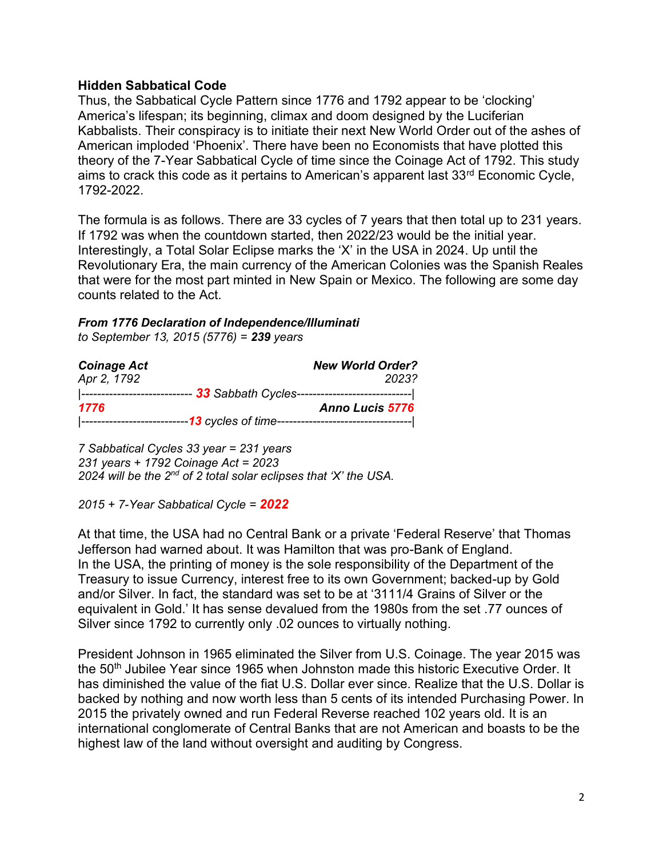## **Hidden Sabbatical Code**

Thus, the Sabbatical Cycle Pattern since 1776 and 1792 appear to be 'clocking' America's lifespan; its beginning, climax and doom designed by the Luciferian Kabbalists. Their conspiracy is to initiate their next New World Order out of the ashes of American imploded 'Phoenix'. There have been no Economists that have plotted this theory of the 7-Year Sabbatical Cycle of time since the Coinage Act of 1792. This study aims to crack this code as it pertains to American's apparent last 33rd Economic Cycle, 1792-2022.

The formula is as follows. There are 33 cycles of 7 years that then total up to 231 years. If 1792 was when the countdown started, then 2022/23 would be the initial year. Interestingly, a Total Solar Eclipse marks the 'X' in the USA in 2024. Up until the Revolutionary Era, the main currency of the American Colonies was the Spanish Reales that were for the most part minted in New Spain or Mexico. The following are some day counts related to the Act.

#### *From 1776 Declaration of Independence/Illuminati to September 13, 2015 (5776) = 239 years*

| <b>Coinage Act</b> | <b>New World Order?</b>                            |
|--------------------|----------------------------------------------------|
| Apr 2, 1792        | 2023?                                              |
| ---------------    | 33 Sabbath Cycles--------------------------------- |
| 1776               | <b>Anno Lucis 5776</b>                             |
|                    |                                                    |

*7 Sabbatical Cycles 33 year = 231 years 231 years + 1792 Coinage Act = 2023 2024 will be the 2nd of 2 total solar eclipses that 'X' the USA.*

*2015 + 7-Year Sabbatical Cycle = 2022*

At that time, the USA had no Central Bank or a private 'Federal Reserve' that Thomas Jefferson had warned about. It was Hamilton that was pro-Bank of England. In the USA, the printing of money is the sole responsibility of the Department of the Treasury to issue Currency, interest free to its own Government; backed-up by Gold and/or Silver. In fact, the standard was set to be at '3111/4 Grains of Silver or the equivalent in Gold.' It has sense devalued from the 1980s from the set .77 ounces of Silver since 1792 to currently only .02 ounces to virtually nothing.

President Johnson in 1965 eliminated the Silver from U.S. Coinage. The year 2015 was the 50<sup>th</sup> Jubilee Year since 1965 when Johnston made this historic Executive Order. It has diminished the value of the fiat U.S. Dollar ever since. Realize that the U.S. Dollar is backed by nothing and now worth less than 5 cents of its intended Purchasing Power. In 2015 the privately owned and run Federal Reverse reached 102 years old. It is an international conglomerate of Central Banks that are not American and boasts to be the highest law of the land without oversight and auditing by Congress.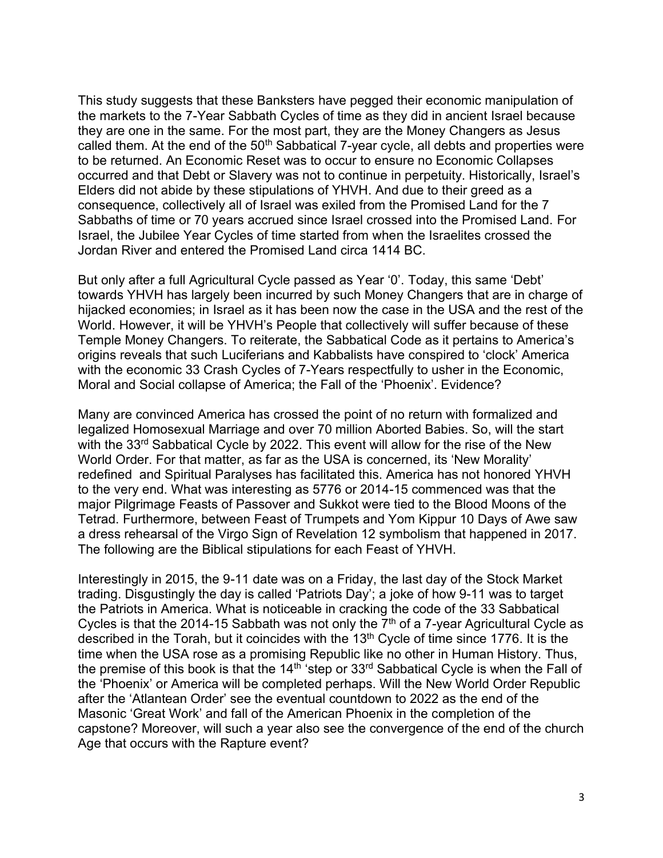This study suggests that these Banksters have pegged their economic manipulation of the markets to the 7-Year Sabbath Cycles of time as they did in ancient Israel because they are one in the same. For the most part, they are the Money Changers as Jesus called them. At the end of the  $50<sup>th</sup>$  Sabbatical 7-year cycle, all debts and properties were to be returned. An Economic Reset was to occur to ensure no Economic Collapses occurred and that Debt or Slavery was not to continue in perpetuity. Historically, Israel's Elders did not abide by these stipulations of YHVH. And due to their greed as a consequence, collectively all of Israel was exiled from the Promised Land for the 7 Sabbaths of time or 70 years accrued since Israel crossed into the Promised Land. For Israel, the Jubilee Year Cycles of time started from when the Israelites crossed the Jordan River and entered the Promised Land circa 1414 BC.

But only after a full Agricultural Cycle passed as Year '0'. Today, this same 'Debt' towards YHVH has largely been incurred by such Money Changers that are in charge of hijacked economies; in Israel as it has been now the case in the USA and the rest of the World. However, it will be YHVH's People that collectively will suffer because of these Temple Money Changers. To reiterate, the Sabbatical Code as it pertains to America's origins reveals that such Luciferians and Kabbalists have conspired to 'clock' America with the economic 33 Crash Cycles of 7-Years respectfully to usher in the Economic, Moral and Social collapse of America; the Fall of the 'Phoenix'. Evidence?

Many are convinced America has crossed the point of no return with formalized and legalized Homosexual Marriage and over 70 million Aborted Babies. So, will the start with the 33<sup>rd</sup> Sabbatical Cycle by 2022. This event will allow for the rise of the New World Order. For that matter, as far as the USA is concerned, its 'New Morality' redefined and Spiritual Paralyses has facilitated this. America has not honored YHVH to the very end. What was interesting as 5776 or 2014-15 commenced was that the major Pilgrimage Feasts of Passover and Sukkot were tied to the Blood Moons of the Tetrad. Furthermore, between Feast of Trumpets and Yom Kippur 10 Days of Awe saw a dress rehearsal of the Virgo Sign of Revelation 12 symbolism that happened in 2017. The following are the Biblical stipulations for each Feast of YHVH.

Interestingly in 2015, the 9-11 date was on a Friday, the last day of the Stock Market trading. Disgustingly the day is called 'Patriots Day'; a joke of how 9-11 was to target the Patriots in America. What is noticeable in cracking the code of the 33 Sabbatical Cycles is that the 2014-15 Sabbath was not only the  $7<sup>th</sup>$  of a 7-year Agricultural Cycle as described in the Torah, but it coincides with the  $13<sup>th</sup>$  Cycle of time since 1776. It is the time when the USA rose as a promising Republic like no other in Human History. Thus, the premise of this book is that the  $14<sup>th</sup>$  step or  $33<sup>rd</sup>$  Sabbatical Cycle is when the Fall of the 'Phoenix' or America will be completed perhaps. Will the New World Order Republic after the 'Atlantean Order' see the eventual countdown to 2022 as the end of the Masonic 'Great Work' and fall of the American Phoenix in the completion of the capstone? Moreover, will such a year also see the convergence of the end of the church Age that occurs with the Rapture event?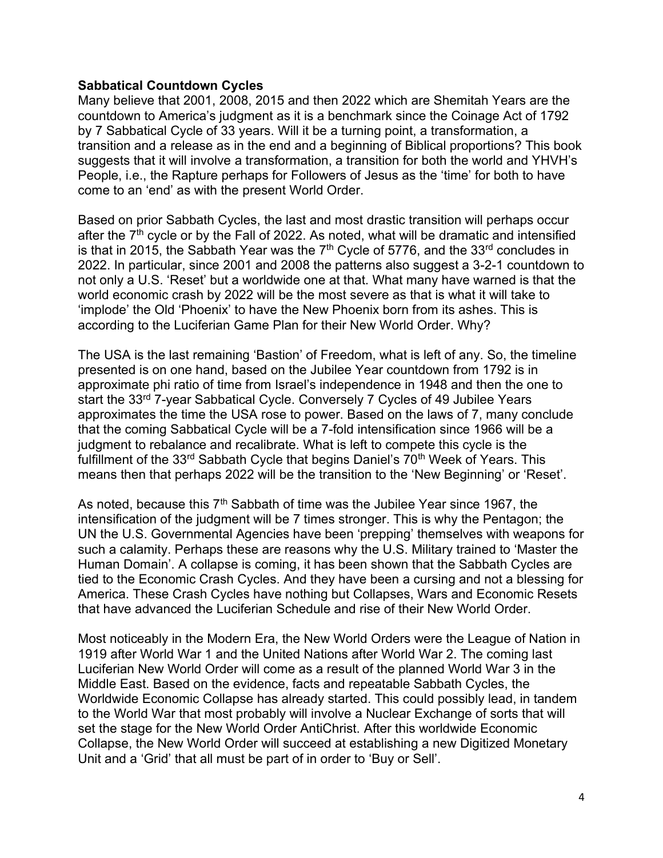### **Sabbatical Countdown Cycles**

Many believe that 2001, 2008, 2015 and then 2022 which are Shemitah Years are the countdown to America's judgment as it is a benchmark since the Coinage Act of 1792 by 7 Sabbatical Cycle of 33 years. Will it be a turning point, a transformation, a transition and a release as in the end and a beginning of Biblical proportions? This book suggests that it will involve a transformation, a transition for both the world and YHVH's People, i.e., the Rapture perhaps for Followers of Jesus as the 'time' for both to have come to an 'end' as with the present World Order.

Based on prior Sabbath Cycles, the last and most drastic transition will perhaps occur after the  $7<sup>th</sup>$  cycle or by the Fall of 2022. As noted, what will be dramatic and intensified is that in 2015, the Sabbath Year was the  $7<sup>th</sup>$  Cycle of 5776, and the 33<sup>rd</sup> concludes in 2022. In particular, since 2001 and 2008 the patterns also suggest a 3-2-1 countdown to not only a U.S. 'Reset' but a worldwide one at that. What many have warned is that the world economic crash by 2022 will be the most severe as that is what it will take to 'implode' the Old 'Phoenix' to have the New Phoenix born from its ashes. This is according to the Luciferian Game Plan for their New World Order. Why?

The USA is the last remaining 'Bastion' of Freedom, what is left of any. So, the timeline presented is on one hand, based on the Jubilee Year countdown from 1792 is in approximate phi ratio of time from Israel's independence in 1948 and then the one to start the 33<sup>rd</sup> 7-year Sabbatical Cycle. Conversely 7 Cycles of 49 Jubilee Years approximates the time the USA rose to power. Based on the laws of 7, many conclude that the coming Sabbatical Cycle will be a 7-fold intensification since 1966 will be a judgment to rebalance and recalibrate. What is left to compete this cycle is the fulfillment of the 33<sup>rd</sup> Sabbath Cycle that begins Daniel's 70<sup>th</sup> Week of Years. This means then that perhaps 2022 will be the transition to the 'New Beginning' or 'Reset'.

As noted, because this  $7<sup>th</sup>$  Sabbath of time was the Jubilee Year since 1967, the intensification of the judgment will be 7 times stronger. This is why the Pentagon; the UN the U.S. Governmental Agencies have been 'prepping' themselves with weapons for such a calamity. Perhaps these are reasons why the U.S. Military trained to 'Master the Human Domain'. A collapse is coming, it has been shown that the Sabbath Cycles are tied to the Economic Crash Cycles. And they have been a cursing and not a blessing for America. These Crash Cycles have nothing but Collapses, Wars and Economic Resets that have advanced the Luciferian Schedule and rise of their New World Order.

Most noticeably in the Modern Era, the New World Orders were the League of Nation in 1919 after World War 1 and the United Nations after World War 2. The coming last Luciferian New World Order will come as a result of the planned World War 3 in the Middle East. Based on the evidence, facts and repeatable Sabbath Cycles, the Worldwide Economic Collapse has already started. This could possibly lead, in tandem to the World War that most probably will involve a Nuclear Exchange of sorts that will set the stage for the New World Order AntiChrist. After this worldwide Economic Collapse, the New World Order will succeed at establishing a new Digitized Monetary Unit and a 'Grid' that all must be part of in order to 'Buy or Sell'.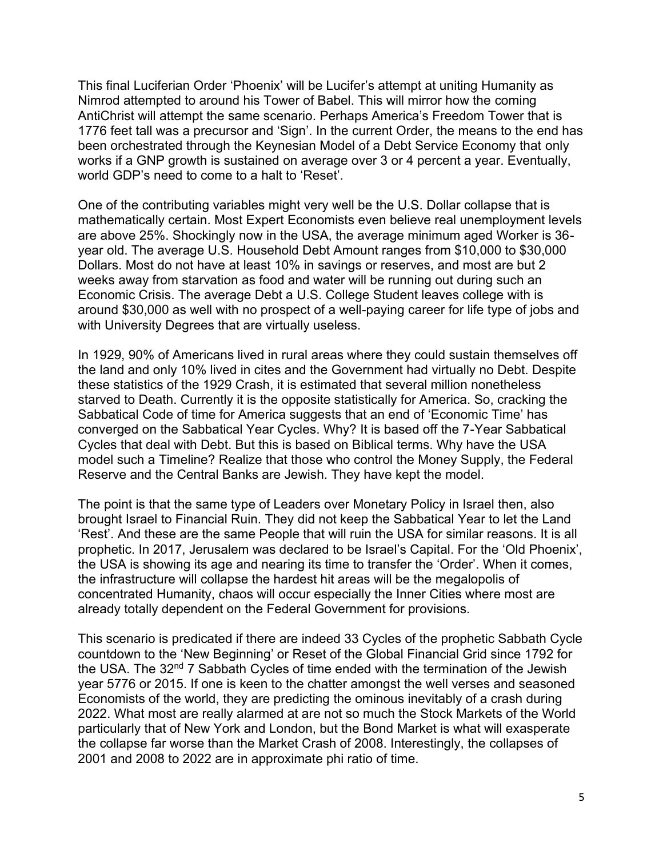This final Luciferian Order 'Phoenix' will be Lucifer's attempt at uniting Humanity as Nimrod attempted to around his Tower of Babel. This will mirror how the coming AntiChrist will attempt the same scenario. Perhaps America's Freedom Tower that is 1776 feet tall was a precursor and 'Sign'. In the current Order, the means to the end has been orchestrated through the Keynesian Model of a Debt Service Economy that only works if a GNP growth is sustained on average over 3 or 4 percent a year. Eventually, world GDP's need to come to a halt to 'Reset'.

One of the contributing variables might very well be the U.S. Dollar collapse that is mathematically certain. Most Expert Economists even believe real unemployment levels are above 25%. Shockingly now in the USA, the average minimum aged Worker is 36 year old. The average U.S. Household Debt Amount ranges from \$10,000 to \$30,000 Dollars. Most do not have at least 10% in savings or reserves, and most are but 2 weeks away from starvation as food and water will be running out during such an Economic Crisis. The average Debt a U.S. College Student leaves college with is around \$30,000 as well with no prospect of a well-paying career for life type of jobs and with University Degrees that are virtually useless.

In 1929, 90% of Americans lived in rural areas where they could sustain themselves off the land and only 10% lived in cites and the Government had virtually no Debt. Despite these statistics of the 1929 Crash, it is estimated that several million nonetheless starved to Death. Currently it is the opposite statistically for America. So, cracking the Sabbatical Code of time for America suggests that an end of 'Economic Time' has converged on the Sabbatical Year Cycles. Why? It is based off the 7-Year Sabbatical Cycles that deal with Debt. But this is based on Biblical terms. Why have the USA model such a Timeline? Realize that those who control the Money Supply, the Federal Reserve and the Central Banks are Jewish. They have kept the model.

The point is that the same type of Leaders over Monetary Policy in Israel then, also brought Israel to Financial Ruin. They did not keep the Sabbatical Year to let the Land 'Rest'. And these are the same People that will ruin the USA for similar reasons. It is all prophetic. In 2017, Jerusalem was declared to be Israel's Capital. For the 'Old Phoenix', the USA is showing its age and nearing its time to transfer the 'Order'. When it comes, the infrastructure will collapse the hardest hit areas will be the megalopolis of concentrated Humanity, chaos will occur especially the Inner Cities where most are already totally dependent on the Federal Government for provisions.

This scenario is predicated if there are indeed 33 Cycles of the prophetic Sabbath Cycle countdown to the 'New Beginning' or Reset of the Global Financial Grid since 1792 for the USA. The 32<sup>nd</sup> 7 Sabbath Cycles of time ended with the termination of the Jewish year 5776 or 2015. If one is keen to the chatter amongst the well verses and seasoned Economists of the world, they are predicting the ominous inevitably of a crash during 2022. What most are really alarmed at are not so much the Stock Markets of the World particularly that of New York and London, but the Bond Market is what will exasperate the collapse far worse than the Market Crash of 2008. Interestingly, the collapses of 2001 and 2008 to 2022 are in approximate phi ratio of time.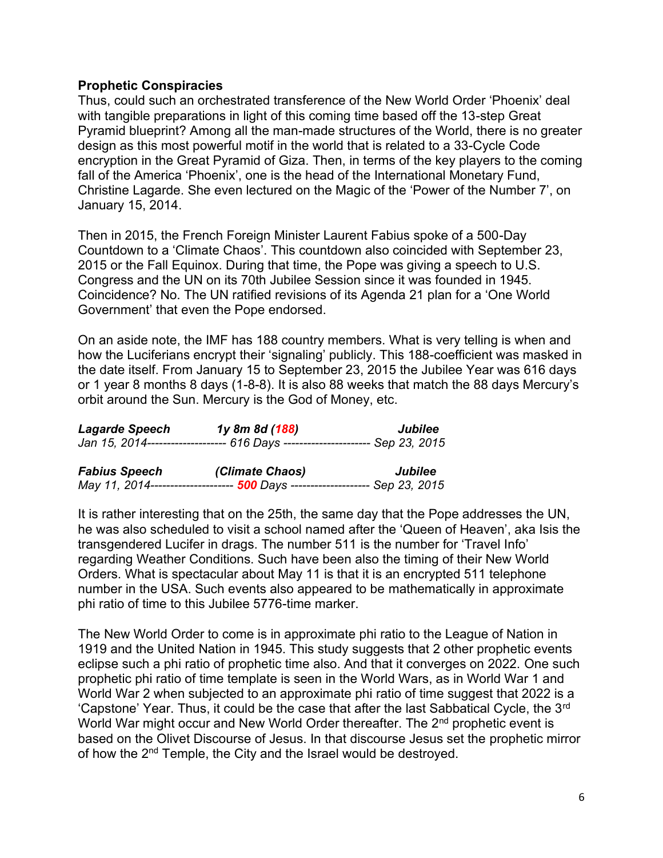## **Prophetic Conspiracies**

Thus, could such an orchestrated transference of the New World Order 'Phoenix' deal with tangible preparations in light of this coming time based off the 13-step Great Pyramid blueprint? Among all the man-made structures of the World, there is no greater design as this most powerful motif in the world that is related to a 33-Cycle Code encryption in the Great Pyramid of Giza. Then, in terms of the key players to the coming fall of the America 'Phoenix', one is the head of the International Monetary Fund, Christine Lagarde. She even lectured on the Magic of the 'Power of the Number 7', on January 15, 2014.

Then in 2015, the French Foreign Minister Laurent Fabius spoke of a 500-Day Countdown to a 'Climate Chaos'. This countdown also coincided with September 23, 2015 or the Fall Equinox. During that time, the Pope was giving a speech to U.S. Congress and the UN on its 70th Jubilee Session since it was founded in 1945. Coincidence? No. The UN ratified revisions of its Agenda 21 plan for a 'One World Government' that even the Pope endorsed.

On an aside note, the IMF has 188 country members. What is very telling is when and how the Luciferians encrypt their 'signaling' publicly. This 188-coefficient was masked in the date itself. From January 15 to September 23, 2015 the Jubilee Year was 616 days or 1 year 8 months 8 days (1-8-8). It is also 88 weeks that match the 88 days Mercury's orbit around the Sun. Mercury is the God of Money, etc.

| <b>Lagarde Speech</b><br>1y 8m 8d (188) |                                                                               | Jubilee |
|-----------------------------------------|-------------------------------------------------------------------------------|---------|
|                                         | Jan 15, 2014-------------------- 616 Days ---------------------- Sep 23, 2015 |         |
|                                         | $\sim$ $\sim$ $\sim$ $\sim$ $\sim$ $\sim$                                     | .       |

| <b>Fabius Speech</b> | (Climate Chaos)                                                              | Jubilee |  |
|----------------------|------------------------------------------------------------------------------|---------|--|
|                      | May 11, 2014--------------------- 500 Days -------------------- Sep 23, 2015 |         |  |

It is rather interesting that on the 25th, the same day that the Pope addresses the UN, he was also scheduled to visit a school named after the 'Queen of Heaven', aka Isis the transgendered Lucifer in drags. The number 511 is the number for 'Travel Info' regarding Weather Conditions. Such have been also the timing of their New World Orders. What is spectacular about May 11 is that it is an encrypted 511 telephone number in the USA. Such events also appeared to be mathematically in approximate phi ratio of time to this Jubilee 5776-time marker.

The New World Order to come is in approximate phi ratio to the League of Nation in 1919 and the United Nation in 1945. This study suggests that 2 other prophetic events eclipse such a phi ratio of prophetic time also. And that it converges on 2022. One such prophetic phi ratio of time template is seen in the World Wars, as in World War 1 and World War 2 when subjected to an approximate phi ratio of time suggest that 2022 is a 'Capstone' Year. Thus, it could be the case that after the last Sabbatical Cycle, the 3rd World War might occur and New World Order thereafter. The 2<sup>nd</sup> prophetic event is based on the Olivet Discourse of Jesus. In that discourse Jesus set the prophetic mirror of how the 2<sup>nd</sup> Temple, the City and the Israel would be destroyed.